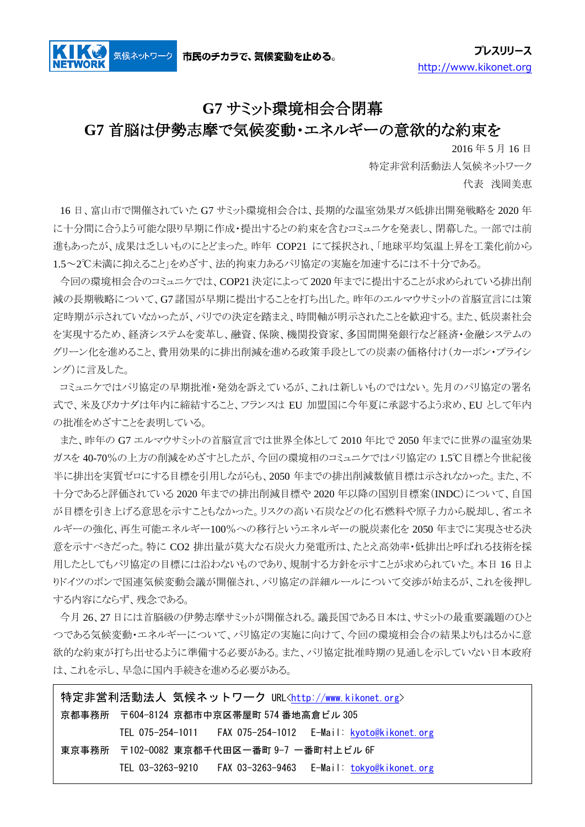気候ネットワーク

## **G7** サミット環境相会合閉幕

## **G7** 首脳は伊勢志摩で気候変動・エネルギーの意欲的な約束を

2016 年 5 月 16 日

特定非営利活動法人気候ネットワーク 代表 浅岡美恵

16 日、富山市で開催されていた G7 サミット環境相会合は、長期的な温室効果ガス低排出開発戦略を 2020 年 に十分間に合うよう可能な限り早期に作成・提出するとの約束を含むコミュニケを発表し、閉幕した。一部では前 進もあったが、成果は乏しいものにとどまった。昨年 COP21 にて採択され、「地球平均気温上昇を工業化前から 1.5~2℃未満に抑えること」をめざす、法的拘束力あるパリ協定の実施を加速するには不十分である。

今回の環境相会合のコミュニケでは、COP21 決定によって 2020 年までに提出することが求められている排出削 減の長期戦略について、G7諸国が早期に提出することを打ち出した。昨年のエルマウサミットの首脳宣言には策 定時期が示されていなかったが、パリでの決定を踏まえ、時間軸が明示されたことを歓迎する。また、低炭素社会 を実現するため、経済システムを変革し、融資、保険、機関投資家、多国間開発銀行など経済・金融システムの グリーン化を進めること、費用効果的に排出削減を進める政策手段としての炭素の価格付け(カーボン・プライシ ング)に言及した。

コミュニケではパリ協定の早期批准・発効を訴えているが、これは新しいものではない。先月のパリ協定の署名 式で、米及びカナダは年内に締結すること、フランスは EU 加盟国に今年夏に承認するよう求め、EU として年内 の批准をめざすことを表明している。

また、昨年の G7 エルマウサミットの首脳宣言では世界全体として 2010 年比で 2050 年までに世界の温室効果 ガスを 40-70%の上方の削減をめざすとしたが、今回の環境相のコミュニケではパリ協定の 1.5℃目標と今世紀後 半に排出を実質ゼロにする目標を引用しながらも、2050 年までの排出削減数値目標は示されなかった。また、不 十分であると評価されている 2020 年までの排出削減目標や 2020 年以降の国別目標案(INDC)について、自国 が目標を引き上げる意思を示すこともなかった。リスクの高い石炭などの化石燃料や原子力から脱却し、省エネ ルギーの強化、再生可能エネルギー100%への移行というエネルギーの脱炭素化を 2050 年までに実現させる決 意を示すべきだった。特に CO2 排出量が莫大な石炭火力発電所は、たとえ高効率・低排出と呼ばれる技術を採 用したとしてもパリ協定の目標には沿わないものであり、規制する方針を示すことが求められていた。本日 16 日よ りドイツのボンで国連気候変動会議が開催され、パリ協定の詳細ルールについて交渉が始まるが、これを後押し する内容にならず、残念である。

今月 26、27 日には首脳級の伊勢志摩サミットが開催される。議長国である日本は、サミットの最重要議題のひと つである気候変動・エネルギーについて、パリ協定の実施に向けて、今回の環境相会合の結果よりもはるかに意 欲的な約束が打ち出せるように準備する必要がある。また、パリ協定批准時期の見通しを示していない日本政府 は、これを示し、早急に国内手続きを進める必要がある。

特定非営利活動法人 気候ネットワーク URL[<http://www.kikonet.org>](http://www.kikonet.org/) 京都事務所 〒604-8124 京都市中京区帯屋町 574 番地高倉ビル 305 TEL 075-254-1011 FAX 075-254-1012 E-Mail: [kyoto@kikonet.org](mailto:kyoto@kikonet.org) 東京事務所 〒102-0082 東京都千代田区一番町 9-7 一番町村上ビル 6F TEL 03-3263-9210 FAX 03-3263-9463 E-Mail: [tokyo@kikonet.org](mailto:tokyo@kikonet.org)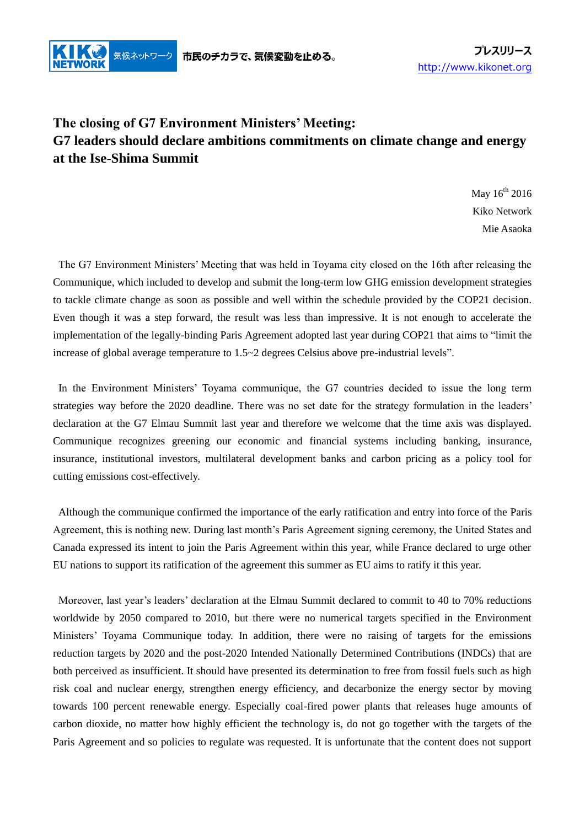

## **The closing of G7 Environment Ministers' Meeting: G7 leaders should declare ambitions commitments on climate change and energy at the Ise-Shima Summit**

May  $16^{th}$  2016 Kiko Network Mie Asaoka

The G7 Environment Ministers' Meeting that was held in Toyama city closed on the 16th after releasing the Communique, which included to develop and submit the long-term low GHG emission development strategies to tackle climate change as soon as possible and well within the schedule provided by the COP21 decision. Even though it was a step forward, the result was less than impressive. It is not enough to accelerate the implementation of the legally-binding Paris Agreement adopted last year during COP21 that aims to "limit the increase of global average temperature to 1.5~2 degrees Celsius above pre-industrial levels".

In the Environment Ministers' Toyama communique, the G7 countries decided to issue the long term strategies way before the 2020 deadline. There was no set date for the strategy formulation in the leaders' declaration at the G7 Elmau Summit last year and therefore we welcome that the time axis was displayed. Communique recognizes greening our economic and financial systems including banking, insurance, insurance, institutional investors, multilateral development banks and carbon pricing as a policy tool for cutting emissions cost-effectively.

Although the communique confirmed the importance of the early ratification and entry into force of the Paris Agreement, this is nothing new. During last month's Paris Agreement signing ceremony, the United States and Canada expressed its intent to join the Paris Agreement within this year, while France declared to urge other EU nations to support its ratification of the agreement this summer as EU aims to ratify it this year.

Moreover, last year's leaders' declaration at the Elmau Summit declared to commit to 40 to 70% reductions worldwide by 2050 compared to 2010, but there were no numerical targets specified in the Environment Ministers' Toyama Communique today. In addition, there were no raising of targets for the emissions reduction targets by 2020 and the post-2020 Intended Nationally Determined Contributions (INDCs) that are both perceived as insufficient. It should have presented its determination to free from fossil fuels such as high risk coal and nuclear energy, strengthen energy efficiency, and decarbonize the energy sector by moving towards 100 percent renewable energy. Especially coal-fired power plants that releases huge amounts of carbon dioxide, no matter how highly efficient the technology is, do not go together with the targets of the Paris Agreement and so policies to regulate was requested. It is unfortunate that the content does not support